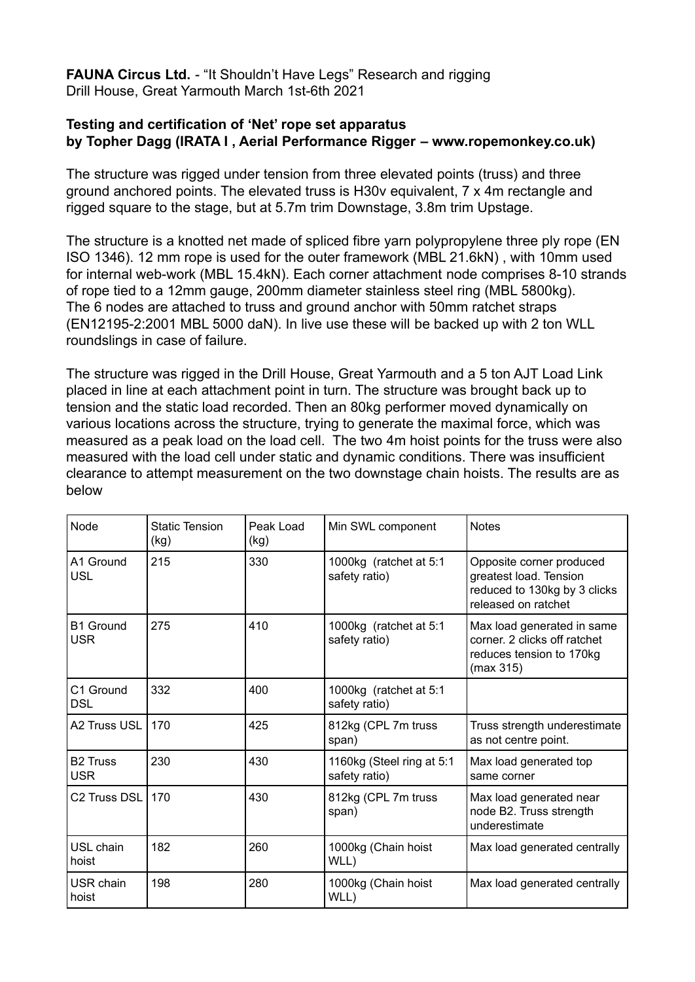**FAUNA Circus Ltd.** - "It Shouldn't Have Legs" Research and rigging Drill House, Great Yarmouth March 1st-6th 2021

## **Testing and certification of 'Net' rope set apparatus by Topher Dagg (IRATA I , Aerial Performance Rigger – www.ropemonkey.co.uk)**

The structure was rigged under tension from three elevated points (truss) and three ground anchored points. The elevated truss is H30v equivalent, 7 x 4m rectangle and rigged square to the stage, but at 5.7m trim Downstage, 3.8m trim Upstage.

The structure is a knotted net made of spliced fibre yarn polypropylene three ply rope (EN ISO 1346). 12 mm rope is used for the outer framework (MBL 21.6kN) , with 10mm used for internal web-work (MBL 15.4kN). Each corner attachment node comprises 8-10 strands of rope tied to a 12mm gauge, 200mm diameter stainless steel ring (MBL 5800kg). The 6 nodes are attached to truss and ground anchor with 50mm ratchet straps (EN12195-2:2001 MBL 5000 daN). In live use these will be backed up with 2 ton WLL roundslings in case of failure.

The structure was rigged in the Drill House, Great Yarmouth and a 5 ton AJT Load Link placed in line at each attachment point in turn. The structure was brought back up to tension and the static load recorded. Then an 80kg performer moved dynamically on various locations across the structure, trying to generate the maximal force, which was measured as a peak load on the load cell. The two 4m hoist points for the truss were also measured with the load cell under static and dynamic conditions. There was insufficient clearance to attempt measurement on the two downstage chain hoists. The results are as below

| Node                           | <b>Static Tension</b><br>(kg) | Peak Load<br>(kg) | Min SWL component                          | <b>Notes</b>                                                                                              |
|--------------------------------|-------------------------------|-------------------|--------------------------------------------|-----------------------------------------------------------------------------------------------------------|
| A1 Ground<br><b>USL</b>        | 215                           | 330               | 1000kg (ratchet at 5:1<br>safety ratio)    | Opposite corner produced<br>greatest load. Tension<br>reduced to 130kg by 3 clicks<br>released on ratchet |
| <b>B1 Ground</b><br><b>USR</b> | 275                           | 410               | 1000kg (ratchet at 5:1<br>safety ratio)    | Max load generated in same<br>corner. 2 clicks off ratchet<br>reduces tension to 170kg<br>(max 315)       |
| C1 Ground<br><b>DSL</b>        | 332                           | 400               | 1000kg (ratchet at 5:1<br>safety ratio)    |                                                                                                           |
| A2 Truss USL                   | 170                           | 425               | 812kg (CPL 7m truss<br>span)               | Truss strength underestimate<br>as not centre point.                                                      |
| <b>B2 Truss</b><br><b>USR</b>  | 230                           | 430               | 1160kg (Steel ring at 5:1<br>safety ratio) | Max load generated top<br>same corner                                                                     |
| C <sub>2</sub> Truss DSL       | 170                           | 430               | 812kg (CPL 7m truss<br>span)               | Max load generated near<br>node B2. Truss strength<br>underestimate                                       |
| USL chain<br>hoist             | 182                           | 260               | 1000kg (Chain hoist<br>WLL)                | Max load generated centrally                                                                              |
| USR chain<br>hoist             | 198                           | 280               | 1000kg (Chain hoist<br>WLL)                | Max load generated centrally                                                                              |